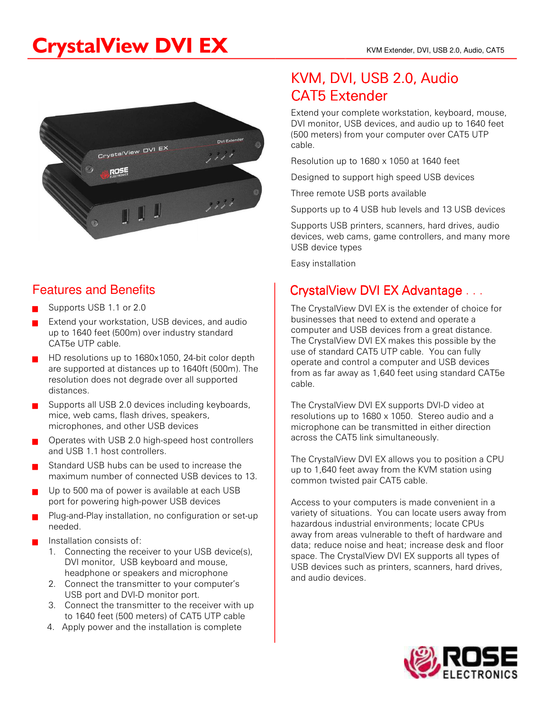# CrystalView DVI EX KVM Extender, DVI, USB 2.0, Audio, CAT5



#### Features and Benefits

- Supports USB 1.1 or 2.0
- Extend your workstation, USB devices, and audio up to 1640 feet (500m) over industry standard CAT5e UTP cable.
- ? HD resolutions up to 1680x1050, 24-bit color depth are supported at distances up to 1640ft (500m). The resolution does not degrade over all supported distances.
- Supports all USB 2.0 devices including keyboards, mice, web cams, flash drives, speakers, microphones, and other USB devices
- ? Operates with USB 2.0 high-speed host controllers and USB 1.1 host controllers.
- Standard USB hubs can be used to increase the maximum number of connected USB devices to 13.
- Up to 500 ma of power is available at each USB port for powering high-power USB devices
- Plug-and-Play installation, no configuration or set-up needed.
- Installation consists of:
	- 1. Connecting the receiver to your USB device(s), DVI monitor, USB keyboard and mouse, headphone or speakers and microphone
	- 2. Connect the transmitter to your computer's USB port and DVI-D monitor port.
	- 3. Connect the transmitter to the receiver with up to 1640 feet (500 meters) of CAT5 UTP cable
	- 4. Apply power and the installation is complete

## KVM, DVI, USB 2.0, Audio CAT5 Extender

Extend your complete workstation, keyboard, mouse, DVI monitor, USB devices, and audio up to 1640 feet (500 meters) from your computer over CAT5 UTP cable.

Resolution up to 1680 x 1050 at 1640 feet

Designed to support high speed USB devices

Three remote USB ports available

Supports up to 4 USB hub levels and 13 USB devices

Supports USB printers, scanners, hard drives, audio devices, web cams, game controllers, and many more USB device types

Easy installation

### CrystalView DVI EX Advantage . . .

The CrystalView DVI EX is the extender of choice for businesses that need to extend and operate a computer and USB devices from a great distance. The CrystalView DVI EX makes this possible by the use of standard CAT5 UTP cable. You can fully operate and control a computer and USB devices from as far away as 1,640 feet using standard CAT5e cable.

The CrystalView DVI EX supports DVI-D video at resolutions up to 1680 x 1050. Stereo audio and a microphone can be transmitted in either direction across the CAT5 link simultaneously.

The CrystalView DVI EX allows you to position a CPU up to 1,640 feet away from the KVM station using common twisted pair CAT5 cable.

Access to your computers is made convenient in a variety of situations. You can locate users away from hazardous industrial environments; locate CPUs away from areas vulnerable to theft of hardware and data; reduce noise and heat; increase desk and floor space. The CrystalView DVI EX supports all types of USB devices such as printers, scanners, hard drives, and audio devices.